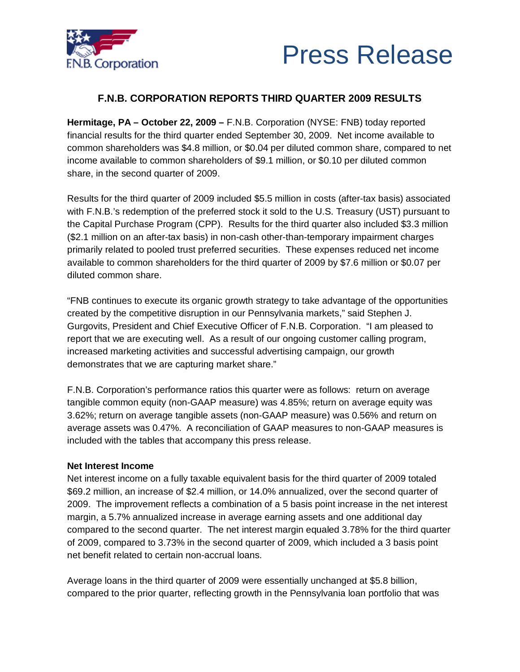



# **F.N.B. CORPORATION REPORTS THIRD QUARTER 2009 RESULTS**

**Hermitage, PA – October 22, 2009 –** F.N.B. Corporation (NYSE: FNB) today reported financial results for the third quarter ended September 30, 2009. Net income available to common shareholders was \$4.8 million, or \$0.04 per diluted common share, compared to net income available to common shareholders of \$9.1 million, or \$0.10 per diluted common share, in the second quarter of 2009.

Results for the third quarter of 2009 included \$5.5 million in costs (after-tax basis) associated with F.N.B.'s redemption of the preferred stock it sold to the U.S. Treasury (UST) pursuant to the Capital Purchase Program (CPP). Results for the third quarter also included \$3.3 million (\$2.1 million on an after-tax basis) in non-cash other-than-temporary impairment charges primarily related to pooled trust preferred securities. These expenses reduced net income available to common shareholders for the third quarter of 2009 by \$7.6 million or \$0.07 per diluted common share.

"FNB continues to execute its organic growth strategy to take advantage of the opportunities created by the competitive disruption in our Pennsylvania markets," said Stephen J. Gurgovits, President and Chief Executive Officer of F.N.B. Corporation. "I am pleased to report that we are executing well. As a result of our ongoing customer calling program, increased marketing activities and successful advertising campaign, our growth demonstrates that we are capturing market share."

F.N.B. Corporation's performance ratios this quarter were as follows: return on average tangible common equity (non-GAAP measure) was 4.85%; return on average equity was 3.62%; return on average tangible assets (non-GAAP measure) was 0.56% and return on average assets was 0.47%. A reconciliation of GAAP measures to non-GAAP measures is included with the tables that accompany this press release.

## **Net Interest Income**

Net interest income on a fully taxable equivalent basis for the third quarter of 2009 totaled \$69.2 million, an increase of \$2.4 million, or 14.0% annualized, over the second quarter of 2009. The improvement reflects a combination of a 5 basis point increase in the net interest margin, a 5.7% annualized increase in average earning assets and one additional day compared to the second quarter. The net interest margin equaled 3.78% for the third quarter of 2009, compared to 3.73% in the second quarter of 2009, which included a 3 basis point net benefit related to certain non-accrual loans.

Average loans in the third quarter of 2009 were essentially unchanged at \$5.8 billion, compared to the prior quarter, reflecting growth in the Pennsylvania loan portfolio that was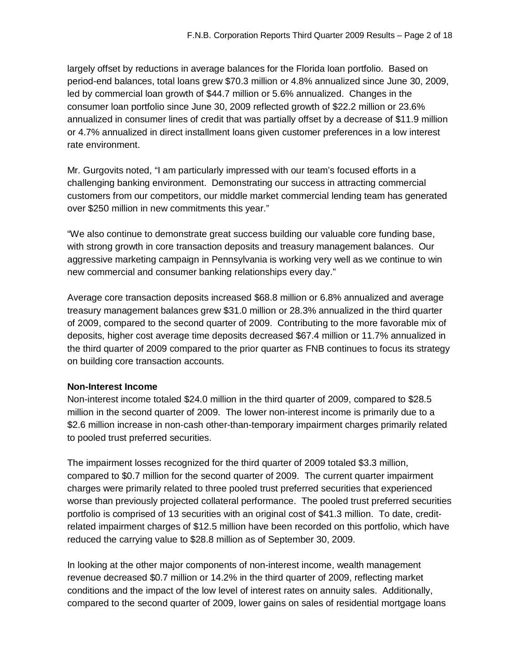largely offset by reductions in average balances for the Florida loan portfolio. Based on period-end balances, total loans grew \$70.3 million or 4.8% annualized since June 30, 2009, led by commercial loan growth of \$44.7 million or 5.6% annualized. Changes in the consumer loan portfolio since June 30, 2009 reflected growth of \$22.2 million or 23.6% annualized in consumer lines of credit that was partially offset by a decrease of \$11.9 million or 4.7% annualized in direct installment loans given customer preferences in a low interest rate environment.

Mr. Gurgovits noted, "I am particularly impressed with our team's focused efforts in a challenging banking environment. Demonstrating our success in attracting commercial customers from our competitors, our middle market commercial lending team has generated over \$250 million in new commitments this year."

"We also continue to demonstrate great success building our valuable core funding base, with strong growth in core transaction deposits and treasury management balances. Our aggressive marketing campaign in Pennsylvania is working very well as we continue to win new commercial and consumer banking relationships every day."

Average core transaction deposits increased \$68.8 million or 6.8% annualized and average treasury management balances grew \$31.0 million or 28.3% annualized in the third quarter of 2009, compared to the second quarter of 2009. Contributing to the more favorable mix of deposits, higher cost average time deposits decreased \$67.4 million or 11.7% annualized in the third quarter of 2009 compared to the prior quarter as FNB continues to focus its strategy on building core transaction accounts.

## **Non-Interest Income**

Non-interest income totaled \$24.0 million in the third quarter of 2009, compared to \$28.5 million in the second quarter of 2009. The lower non-interest income is primarily due to a \$2.6 million increase in non-cash other-than-temporary impairment charges primarily related to pooled trust preferred securities.

The impairment losses recognized for the third quarter of 2009 totaled \$3.3 million, compared to \$0.7 million for the second quarter of 2009. The current quarter impairment charges were primarily related to three pooled trust preferred securities that experienced worse than previously projected collateral performance. The pooled trust preferred securities portfolio is comprised of 13 securities with an original cost of \$41.3 million. To date, creditrelated impairment charges of \$12.5 million have been recorded on this portfolio, which have reduced the carrying value to \$28.8 million as of September 30, 2009.

In looking at the other major components of non-interest income, wealth management revenue decreased \$0.7 million or 14.2% in the third quarter of 2009, reflecting market conditions and the impact of the low level of interest rates on annuity sales. Additionally, compared to the second quarter of 2009, lower gains on sales of residential mortgage loans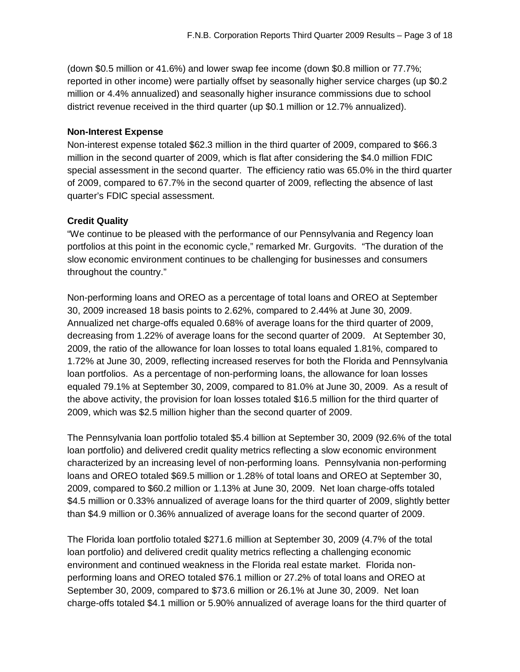(down \$0.5 million or 41.6%) and lower swap fee income (down \$0.8 million or 77.7%; reported in other income) were partially offset by seasonally higher service charges (up \$0.2 million or 4.4% annualized) and seasonally higher insurance commissions due to school district revenue received in the third quarter (up \$0.1 million or 12.7% annualized).

## **Non-Interest Expense**

Non-interest expense totaled \$62.3 million in the third quarter of 2009, compared to \$66.3 million in the second quarter of 2009, which is flat after considering the \$4.0 million FDIC special assessment in the second quarter. The efficiency ratio was 65.0% in the third quarter of 2009, compared to 67.7% in the second quarter of 2009, reflecting the absence of last quarter's FDIC special assessment.

## **Credit Quality**

"We continue to be pleased with the performance of our Pennsylvania and Regency loan portfolios at this point in the economic cycle," remarked Mr. Gurgovits. "The duration of the slow economic environment continues to be challenging for businesses and consumers throughout the country."

Non-performing loans and OREO as a percentage of total loans and OREO at September 30, 2009 increased 18 basis points to 2.62%, compared to 2.44% at June 30, 2009. Annualized net charge-offs equaled 0.68% of average loans for the third quarter of 2009, decreasing from 1.22% of average loans for the second quarter of 2009. At September 30, 2009, the ratio of the allowance for loan losses to total loans equaled 1.81%, compared to 1.72% at June 30, 2009, reflecting increased reserves for both the Florida and Pennsylvania loan portfolios. As a percentage of non-performing loans, the allowance for loan losses equaled 79.1% at September 30, 2009, compared to 81.0% at June 30, 2009. As a result of the above activity, the provision for loan losses totaled \$16.5 million for the third quarter of 2009, which was \$2.5 million higher than the second quarter of 2009.

The Pennsylvania loan portfolio totaled \$5.4 billion at September 30, 2009 (92.6% of the total loan portfolio) and delivered credit quality metrics reflecting a slow economic environment characterized by an increasing level of non-performing loans. Pennsylvania non-performing loans and OREO totaled \$69.5 million or 1.28% of total loans and OREO at September 30, 2009, compared to \$60.2 million or 1.13% at June 30, 2009. Net loan charge-offs totaled \$4.5 million or 0.33% annualized of average loans for the third quarter of 2009, slightly better than \$4.9 million or 0.36% annualized of average loans for the second quarter of 2009.

The Florida loan portfolio totaled \$271.6 million at September 30, 2009 (4.7% of the total loan portfolio) and delivered credit quality metrics reflecting a challenging economic environment and continued weakness in the Florida real estate market. Florida nonperforming loans and OREO totaled \$76.1 million or 27.2% of total loans and OREO at September 30, 2009, compared to \$73.6 million or 26.1% at June 30, 2009. Net loan charge-offs totaled \$4.1 million or 5.90% annualized of average loans for the third quarter of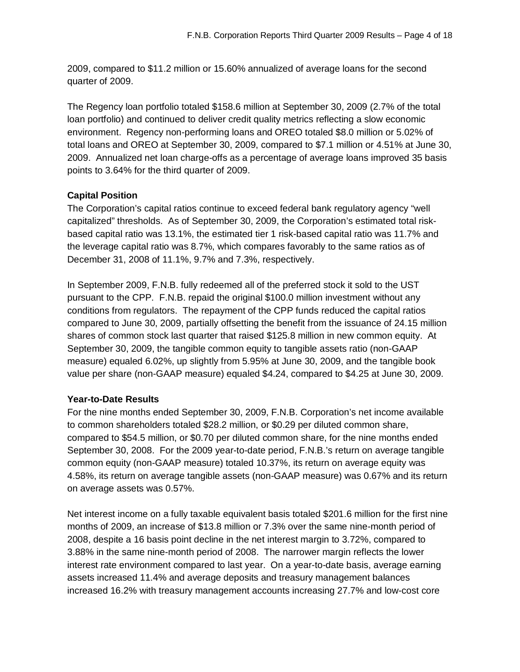2009, compared to \$11.2 million or 15.60% annualized of average loans for the second quarter of 2009.

The Regency loan portfolio totaled \$158.6 million at September 30, 2009 (2.7% of the total loan portfolio) and continued to deliver credit quality metrics reflecting a slow economic environment. Regency non-performing loans and OREO totaled \$8.0 million or 5.02% of total loans and OREO at September 30, 2009, compared to \$7.1 million or 4.51% at June 30, 2009. Annualized net loan charge-offs as a percentage of average loans improved 35 basis points to 3.64% for the third quarter of 2009.

# **Capital Position**

The Corporation's capital ratios continue to exceed federal bank regulatory agency "well capitalized" thresholds. As of September 30, 2009, the Corporation's estimated total riskbased capital ratio was 13.1%, the estimated tier 1 risk-based capital ratio was 11.7% and the leverage capital ratio was 8.7%, which compares favorably to the same ratios as of December 31, 2008 of 11.1%, 9.7% and 7.3%, respectively.

In September 2009, F.N.B. fully redeemed all of the preferred stock it sold to the UST pursuant to the CPP. F.N.B. repaid the original \$100.0 million investment without any conditions from regulators. The repayment of the CPP funds reduced the capital ratios compared to June 30, 2009, partially offsetting the benefit from the issuance of 24.15 million shares of common stock last quarter that raised \$125.8 million in new common equity. At September 30, 2009, the tangible common equity to tangible assets ratio (non-GAAP measure) equaled 6.02%, up slightly from 5.95% at June 30, 2009, and the tangible book value per share (non-GAAP measure) equaled \$4.24, compared to \$4.25 at June 30, 2009.

## **Year-to-Date Results**

For the nine months ended September 30, 2009, F.N.B. Corporation's net income available to common shareholders totaled \$28.2 million, or \$0.29 per diluted common share, compared to \$54.5 million, or \$0.70 per diluted common share, for the nine months ended September 30, 2008. For the 2009 year-to-date period, F.N.B.'s return on average tangible common equity (non-GAAP measure) totaled 10.37%, its return on average equity was 4.58%, its return on average tangible assets (non-GAAP measure) was 0.67% and its return on average assets was 0.57%.

Net interest income on a fully taxable equivalent basis totaled \$201.6 million for the first nine months of 2009, an increase of \$13.8 million or 7.3% over the same nine-month period of 2008, despite a 16 basis point decline in the net interest margin to 3.72%, compared to 3.88% in the same nine-month period of 2008. The narrower margin reflects the lower interest rate environment compared to last year. On a year-to-date basis, average earning assets increased 11.4% and average deposits and treasury management balances increased 16.2% with treasury management accounts increasing 27.7% and low-cost core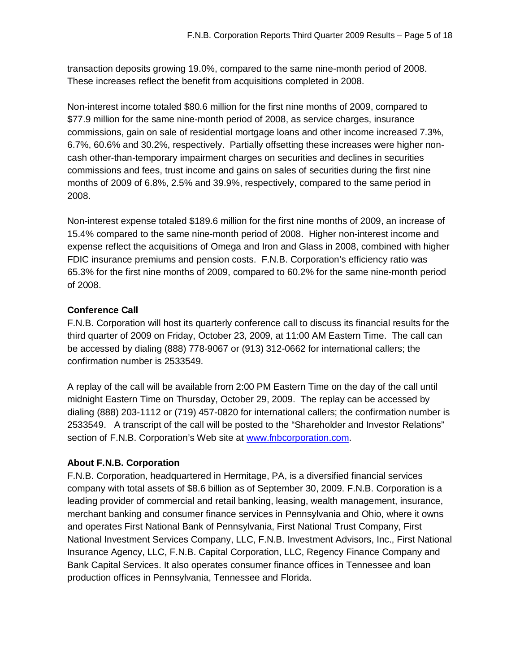transaction deposits growing 19.0%, compared to the same nine-month period of 2008. These increases reflect the benefit from acquisitions completed in 2008.

Non-interest income totaled \$80.6 million for the first nine months of 2009, compared to \$77.9 million for the same nine-month period of 2008, as service charges, insurance commissions, gain on sale of residential mortgage loans and other income increased 7.3%, 6.7%, 60.6% and 30.2%, respectively. Partially offsetting these increases were higher noncash other-than-temporary impairment charges on securities and declines in securities commissions and fees, trust income and gains on sales of securities during the first nine months of 2009 of 6.8%, 2.5% and 39.9%, respectively, compared to the same period in 2008.

Non-interest expense totaled \$189.6 million for the first nine months of 2009, an increase of 15.4% compared to the same nine-month period of 2008. Higher non-interest income and expense reflect the acquisitions of Omega and Iron and Glass in 2008, combined with higher FDIC insurance premiums and pension costs. F.N.B. Corporation's efficiency ratio was 65.3% for the first nine months of 2009, compared to 60.2% for the same nine-month period of 2008.

# **Conference Call**

F.N.B. Corporation will host its quarterly conference call to discuss its financial results for the third quarter of 2009 on Friday, October 23, 2009, at 11:00 AM Eastern Time. The call can be accessed by dialing (888) 778-9067 or (913) 312-0662 for international callers; the confirmation number is 2533549.

A replay of the call will be available from 2:00 PM Eastern Time on the day of the call until midnight Eastern Time on Thursday, October 29, 2009. The replay can be accessed by dialing (888) 203-1112 or (719) 457-0820 for international callers; the confirmation number is 2533549. A transcript of the call will be posted to the "Shareholder and Investor Relations" section of F.N.B. Corporation's Web site at [www.fnbcorporation.com](http://www.fnbcorporation.com).

## **About F.N.B. Corporation**

F.N.B. Corporation, headquartered in Hermitage, PA, is a diversified financial services company with total assets of \$8.6 billion as of September 30, 2009. F.N.B. Corporation is a leading provider of commercial and retail banking, leasing, wealth management, insurance, merchant banking and consumer finance services in Pennsylvania and Ohio, where it owns and operates First National Bank of Pennsylvania, First National Trust Company, First National Investment Services Company, LLC, F.N.B. Investment Advisors, Inc., First National Insurance Agency, LLC, F.N.B. Capital Corporation, LLC, Regency Finance Company and Bank Capital Services. It also operates consumer finance offices in Tennessee and loan production offices in Pennsylvania, Tennessee and Florida.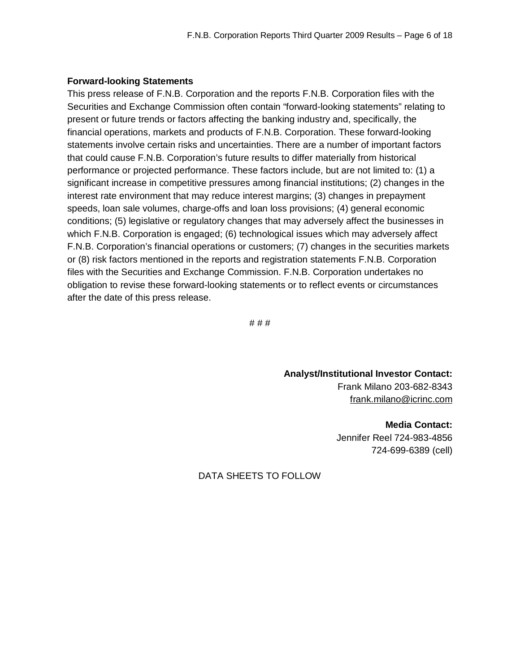## **Forward-looking Statements**

This press release of F.N.B. Corporation and the reports F.N.B. Corporation files with the Securities and Exchange Commission often contain "forward-looking statements" relating to present or future trends or factors affecting the banking industry and, specifically, the financial operations, markets and products of F.N.B. Corporation. These forward-looking statements involve certain risks and uncertainties. There are a number of important factors that could cause F.N.B. Corporation's future results to differ materially from historical performance or projected performance. These factors include, but are not limited to: (1) a significant increase in competitive pressures among financial institutions; (2) changes in the interest rate environment that may reduce interest margins; (3) changes in prepayment speeds, loan sale volumes, charge-offs and loan loss provisions; (4) general economic conditions; (5) legislative or regulatory changes that may adversely affect the businesses in which F.N.B. Corporation is engaged; (6) technological issues which may adversely affect F.N.B. Corporation's financial operations or customers; (7) changes in the securities markets or (8) risk factors mentioned in the reports and registration statements F.N.B. Corporation files with the Securities and Exchange Commission. F.N.B. Corporation undertakes no obligation to revise these forward-looking statements or to reflect events or circumstances after the date of this press release.

# # #

**Analyst/Institutional Investor Contact:**  Frank Milano 203-682-8343 [frank.milano@icrinc.com](mailto:frank.milano@icrinc.com)

> **Media Contact:**  Jennifer Reel 724-983-4856 724-699-6389 (cell)

DATA SHEETS TO FOLLOW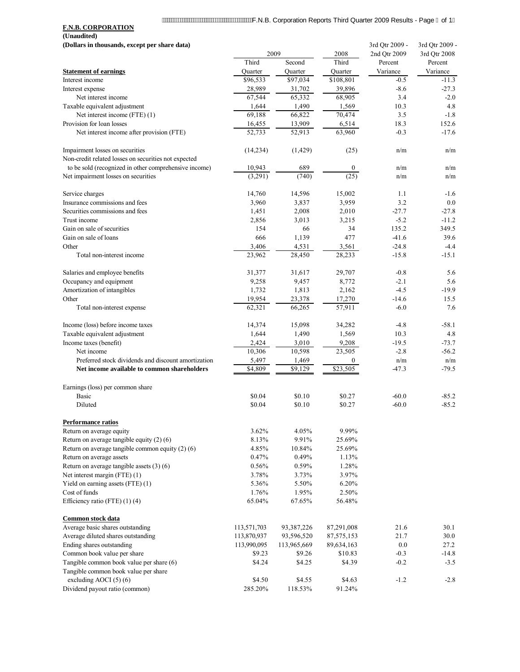# / www.www.www.www.www.www.www.n.B. Corporation Reports Third Quarter 2009 Results - Page i of 1

**F.N.B. CORPORATION (Unaudited)**

| (Dollars in thousands, except per share data)                                           |             |                |              | 3rd Qtr 2009 - | 3rd Qtr 2009 - |
|-----------------------------------------------------------------------------------------|-------------|----------------|--------------|----------------|----------------|
|                                                                                         |             | 2009           | 2008         | 2nd Otr 2009   | 3rd Qtr 2008   |
|                                                                                         | Third       | Second         | Third        | Percent        | Percent        |
| <b>Statement of earnings</b>                                                            | Quarter     | Ouarter        | Ouarter      | Variance       | Variance       |
| Interest income                                                                         | \$96,533    | \$97,034       | \$108,801    | $-0.5$         | $-11.3$        |
| Interest expense                                                                        | 28,989      | 31,702         | 39,896       | $-8.6$         | $-27.3$        |
| Net interest income                                                                     | 67,544      | 65,332         | 68,905       | 3.4            | $-2.0$         |
| Taxable equivalent adjustment                                                           | 1,644       | 1,490          | 1,569        | 10.3           | 4.8            |
| Net interest income (FTE) (1)                                                           | 69,188      | 66,822         | 70,474       | 3.5            | $-1.8$         |
| Provision for loan losses                                                               | 16,455      | 13,909         | 6,514        | 18.3           | 152.6          |
| Net interest income after provision (FTE)                                               | 52, 733     | 52,913         | 63,960       | $-0.3$         | $-17.6$        |
| Impairment losses on securities<br>Non-credit related losses on securities not expected | (14,234)    | (1, 429)       | (25)         | n/m            | n/m            |
| to be sold (recognized in other comprehensive income)                                   | 10,943      | 689            | $\bf{0}$     | n/m            | n/m            |
| Net impairment losses on securities                                                     | (3,291)     | (740)          | (25)         | n/m            | n/m            |
| Service charges                                                                         | 14,760      | 14,596         | 15,002       | 1.1            | $-1.6$         |
| Insurance commissions and fees                                                          | 3,960       | 3,837          | 3,959        | 3.2            | 0.0            |
| Securities commissions and fees                                                         | 1,451       | 2,008          | 2,010        | $-27.7$        | $-27.8$        |
| Trust income                                                                            | 2,856       | 3,013          | 3,215        | $-5.2$         | $-11.2$        |
| Gain on sale of securities                                                              | 154         | 66             | 34           | 135.2          | 349.5          |
| Gain on sale of loans                                                                   | 666         | 1,139          | 477          | $-41.6$        | 39.6           |
| Other                                                                                   | 3,406       | 4,531          | 3,561        | $-24.8$        | $-4.4$         |
| Total non-interest income                                                               | 23,962      | 28,450         | 28,233       | $-15.8$        | $-15.1$        |
| Salaries and employee benefits                                                          | 31,377      | 31,617         | 29,707       | $-0.8$         | 5.6            |
| Occupancy and equipment                                                                 | 9,258       | 9,457          | 8,772        | $-2.1$         | 5.6            |
| Amortization of intangibles                                                             | 1,732       | 1,813          | 2,162        | $-4.5$         | $-19.9$        |
| Other                                                                                   | 19,954      | 23,378         | 17,270       | $-14.6$        | 15.5           |
| Total non-interest expense                                                              | 62,321      | 66,265         | 57,911       | $-6.0$         | 7.6            |
|                                                                                         |             |                |              |                |                |
| Income (loss) before income taxes                                                       | 14,374      | 15,098         | 34,282       | $-4.8$         | $-58.1$        |
| Taxable equivalent adjustment                                                           | 1,644       | 1,490          | 1,569        | 10.3           | 4.8            |
| Income taxes (benefit)                                                                  | 2,424       | 3,010          | 9,208        | $-19.5$        | $-73.7$        |
| Net income                                                                              | 10,306      | 10,598         | 23,505       | $-2.8$         | $-56.2$        |
| Preferred stock dividends and discount amortization                                     | 5,497       | 1,469          | 0            | n/m            | n/m            |
| Net income available to common shareholders                                             | \$4,809     | $\sqrt{9.129}$ | \$23,505     | $-47.3$        | $-79.5$        |
| Earnings (loss) per common share                                                        |             |                |              |                |                |
| Basic                                                                                   | \$0.04      | \$0.10         | \$0.27       | $-60.0$        | $-85.2$        |
| Diluted                                                                                 | \$0.04      | \$0.10         | \$0.27       | $-60.0$        | $-85.2$        |
| Performance ratios                                                                      |             |                |              |                |                |
| Return on average equity                                                                | 3.62%       | 4.05%          | 9.99%        |                |                |
| Return on average tangible equity $(2)$ (6)                                             | 8.13%       | 9.91%          | 25.69%       |                |                |
| Return on average tangible common equity $(2)$ (6)                                      | 4.85%       | 10.84%         | 25.69%       |                |                |
| Return on average assets                                                                | 0.47%       | 0.49%          | 1.13%        |                |                |
| Return on average tangible assets $(3)(6)$                                              | 0.56%       | 0.59%          | 1.28%        |                |                |
| Net interest margin (FTE) (1)                                                           | 3.78%       | 3.73%          | 3.97%        |                |                |
| Yield on earning assets (FTE) (1)                                                       | 5.36%       | 5.50%          | 6.20%        |                |                |
| Cost of funds                                                                           | 1.76%       | 1.95%          | 2.50%        |                |                |
| Efficiency ratio (FTE) $(1)$ (4)                                                        | 65.04%      | 67.65%         | 56.48%       |                |                |
| Common stock data                                                                       |             |                |              |                |                |
| Average basic shares outstanding                                                        | 113,571,703 | 93,387,226     | 87,291,008   | 21.6           | 30.1           |
| Average diluted shares outstanding                                                      | 113,870,937 | 93,596,520     | 87, 575, 153 | 21.7           | 30.0           |
| Ending shares outstanding                                                               | 113,990,095 | 113,965,669    | 89,634,163   | 0.0            | 27.2           |
| Common book value per share                                                             | \$9.23      | \$9.26         | \$10.83      | $-0.3$         | $-14.8$        |
| Tangible common book value per share (6)                                                | \$4.24      | \$4.25         | \$4.39       | $-0.2$         | $-3.5$         |
| Tangible common book value per share                                                    |             |                |              |                |                |
| excluding AOCI $(5)(6)$                                                                 | \$4.50      | \$4.55         | \$4.63       | $-1.2$         | $-2.8$         |
| Dividend payout ratio (common)                                                          | 285.20%     | 118.53%        | 91.24%       |                |                |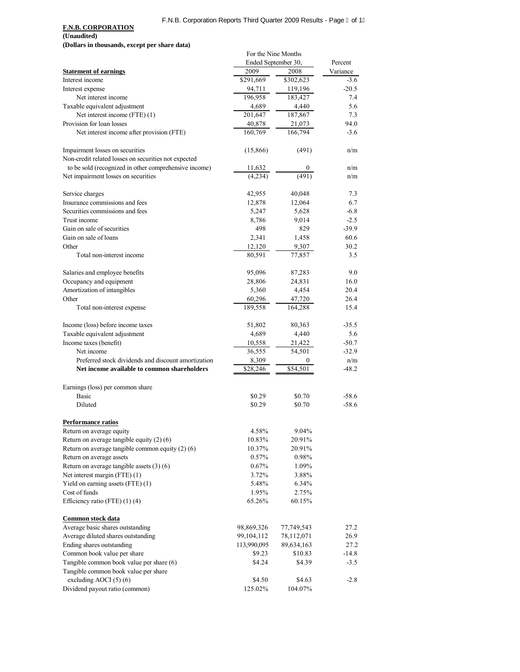## F.N.B. Corporation Reports Third Quarter 2009 Results - Page l of 1l

## **F.N.B. CORPORATION**

**(Unaudited)**

**(Dollars in thousands, except per share data)**

|                                                                                                    | For the Nine Months |               |          |
|----------------------------------------------------------------------------------------------------|---------------------|---------------|----------|
|                                                                                                    | Ended September 30, |               | Percent  |
| <b>Statement of earnings</b>                                                                       | 2009                | 2008          | Variance |
| Interest income                                                                                    | \$291,669           | \$302,623     | $-3.6$   |
| Interest expense                                                                                   | 94,711              | 119,196       | $-20.5$  |
| Net interest income                                                                                | 196,958             | 183,427       | 7.4      |
| Taxable equivalent adjustment                                                                      | 4,689               | 4,440         | 5.6      |
| Net interest income (FTE) (1)                                                                      | 201,647             | 187,867       | 7.3      |
| Provision for loan losses                                                                          | 40,878              | 21,073        | 94.0     |
|                                                                                                    | 160,769             | 166,794       | $-3.6$   |
| Net interest income after provision (FTE)                                                          |                     |               |          |
| Impairment losses on securities                                                                    | (15,866)            | (491)         | n/m      |
| Non-credit related losses on securities not expected                                               |                     |               |          |
| to be sold (recognized in other comprehensive income)                                              | 11,632              |               | n/m      |
| Net impairment losses on securities                                                                | (4,234)             | (491)         | n/m      |
| Service charges                                                                                    | 42,955              | 40,048        | 7.3      |
| Insurance commissions and fees                                                                     | 12,878              | 12,064        | 6.7      |
| Securities commissions and fees                                                                    | 5,247               | 5,628         | $-6.8$   |
| Trust income                                                                                       | 8,786               | 9,014         | $-2.5$   |
| Gain on sale of securities                                                                         | 498                 | 829           | $-39.9$  |
| Gain on sale of loans                                                                              |                     |               | 60.6     |
|                                                                                                    | 2,341               | 1,458         |          |
| Other                                                                                              | 12,120              | 9,307         | 30.2     |
| Total non-interest income                                                                          | 80,591              | 77,857        | 3.5      |
| Salaries and employee benefits                                                                     | 95,096              | 87,283        | 9.0      |
| Occupancy and equipment                                                                            | 28,806              | 24,831        | 16.0     |
| Amortization of intangibles                                                                        | 5,360               | 4,454         | 20.4     |
| Other                                                                                              | 60,296              | 47,720        | 26.4     |
| Total non-interest expense                                                                         | 189,558             | 164,288       | 15.4     |
| Income (loss) before income taxes                                                                  | 51,802              | 80,363        | $-35.5$  |
| Taxable equivalent adjustment                                                                      | 4,689               | 4,440         | 5.6      |
| Income taxes (benefit)                                                                             | 10,558              | 21,422        | $-50.7$  |
| Net income                                                                                         | 36,555              | 54,501        | $-32.9$  |
|                                                                                                    |                     |               |          |
| Preferred stock dividends and discount amortization<br>Net income available to common shareholders | 8,309               | 0<br>\$54,501 | n/m      |
|                                                                                                    | \$28,246            |               | $-48.2$  |
| Earnings (loss) per common share                                                                   |                     |               |          |
| <b>Basic</b>                                                                                       | \$0.29              | \$0.70        | $-58.6$  |
| Diluted                                                                                            | \$0.29              | \$0.70        | $-58.6$  |
| <b>Performance ratios</b>                                                                          |                     |               |          |
| Return on average equity                                                                           | 4.58%               | 9.04%         |          |
| Return on average tangible equity $(2)$ (6)                                                        | 10.83%              | 20.91%        |          |
| Return on average tangible common equity $(2)$ (6)                                                 | 10.37%              | 20.91%        |          |
| Return on average assets                                                                           | 0.57%               | 0.98%         |          |
| Return on average tangible assets (3) (6)                                                          | 0.67%               | 1.09%         |          |
|                                                                                                    |                     |               |          |
| Net interest margin (FTE) (1)                                                                      | 3.72%               | 3.88%         |          |
| Yield on earning assets (FTE) (1)                                                                  | 5.48%               | 6.34%         |          |
| Cost of funds                                                                                      | 1.95%               | 2.75%         |          |
| Efficiency ratio (FTE) (1) (4)                                                                     | 65.26%              | 60.15%        |          |
| Common stock data                                                                                  |                     |               |          |
| Average basic shares outstanding                                                                   | 98,869,326          | 77,749,543    | 27.2     |
| Average diluted shares outstanding                                                                 | 99,104,112          | 78,112,071    | 26.9     |
| Ending shares outstanding                                                                          | 113,990,095         | 89,634,163    | 27.2     |
| Common book value per share                                                                        | \$9.23              | \$10.83       | $-14.8$  |
| Tangible common book value per share (6)                                                           | \$4.24              | \$4.39        | $-3.5$   |
| Tangible common book value per share                                                               |                     |               |          |
| excluding AOCI (5) (6)                                                                             | \$4.50              | \$4.63        | $-2.8$   |
| Dividend payout ratio (common)                                                                     | 125.02%             | 104.07%       |          |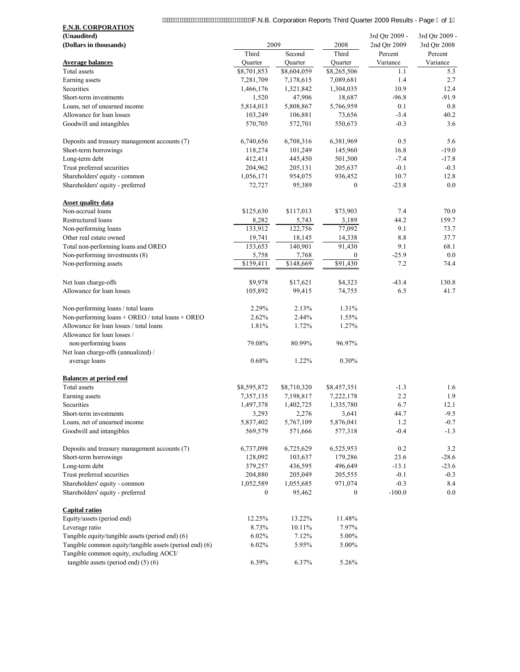| MWWWWWWWWWWWWWWWWWWWWF.N.B. Corporation Reports Third Quarter 2009 Results - Page J of 1           |                        |                        |                        |                     |                     |
|----------------------------------------------------------------------------------------------------|------------------------|------------------------|------------------------|---------------------|---------------------|
| <b>F.N.B. CORPORATION</b>                                                                          |                        |                        |                        |                     |                     |
| (Unaudited)                                                                                        |                        |                        |                        | 3rd Qtr 2009 -      | 3rd Qtr 2009 -      |
| (Dollars in thousands)                                                                             | 2009<br>Third          |                        | 2008<br>Third          | 2nd Qtr 2009        | 3rd Qtr 2008        |
| <b>Average balances</b>                                                                            |                        | Second                 |                        | Percent<br>Variance | Percent<br>Variance |
| Total assets                                                                                       | Quarter<br>\$8,701,853 | Quarter<br>\$8,604,059 | Quarter<br>\$8,265,506 | 1.1                 | 5.3                 |
| Earning assets                                                                                     | 7,281,709              | 7,178,615              | 7,089,681              | 1.4                 | 2.7                 |
| Securities                                                                                         | 1,466,176              | 1,321,842              | 1,304,035              | 10.9                | 12.4                |
| Short-term investments                                                                             | 1,520                  | 47,906                 | 18,687                 | $-96.8$             | $-91.9$             |
| Loans, net of unearned income                                                                      | 5,814,013              | 5,808,867              | 5,766,959              | 0.1                 | 0.8                 |
| Allowance for loan losses                                                                          | 103,249                | 106,881                | 73,656                 | $-3.4$              | 40.2                |
| Goodwill and intangibles                                                                           | 570,705                | 572,701                | 550,673                | $-0.3$              | 3.6                 |
| Deposits and treasury management accounts (7)                                                      | 6,740,656              | 6,708,316              | 6,381,969              | 0.5                 | 5.6                 |
| Short-term borrowings                                                                              | 118,274                | 101,249                | 145,960                | 16.8                | $-19.0$             |
| Long-term debt                                                                                     | 412,411                | 445,450                | 501,500                | $-7.4$              | $-17.8$             |
| Trust preferred securities                                                                         | 204,962                | 205,131                | 205,637                | $-0.1$              | $-0.3$              |
| Shareholders' equity - common                                                                      | 1,056,171              | 954,075                | 936,452                | 10.7                | 12.8                |
| Shareholders' equity - preferred                                                                   | 72,727                 | 95,389                 | $\boldsymbol{0}$       | $-23.8$             | 0.0                 |
| <b>Asset quality data</b>                                                                          |                        |                        |                        |                     |                     |
| Non-accrual loans                                                                                  | \$125,630              | \$117,013              | \$73,903               | 7.4                 | 70.0                |
| Restructured loans                                                                                 | 8,282                  | 5,743                  | 3,189                  | 44.2                | 159.7               |
| Non-performing loans                                                                               | 133,912                | 122,756                | 77,092                 | 9.1                 | 73.7                |
| Other real estate owned                                                                            | 19,741                 | 18,145                 | 14,338                 | 8.8                 | 37.7                |
| Total non-performing loans and OREO                                                                | 153,653                | 140,901                | 91,430                 | 9.1                 | 68.1                |
| Non-performing investments (8)                                                                     | 5,758                  | 7,768                  | $\bf{0}$               | $-25.9$             | 0.0                 |
| Non-performing assets                                                                              | \$159,411              | \$148,669              | \$91,430               | 7.2                 | 74.4                |
| Net loan charge-offs                                                                               | \$9,978                | \$17,621               | \$4,323                | $-43.4$             | 130.8               |
| Allowance for loan losses                                                                          | 105,892                | 99,415                 | 74,755                 | 6.5                 | 41.7                |
| Non-performing loans / total loans                                                                 | 2.29%                  | 2.13%                  | 1.31%                  |                     |                     |
| Non-performing loans + OREO / total loans + OREO                                                   | 2.62%                  | 2.44%                  | 1.55%                  |                     |                     |
| Allowance for loan losses / total loans<br>Allowance for loan losses /                             | 1.81%                  | 1.72%                  | 1.27%                  |                     |                     |
| non-performing loans                                                                               | 79.08%                 | 80.99%                 | 96.97%                 |                     |                     |
| Net loan charge-offs (annualized) /                                                                |                        |                        |                        |                     |                     |
| average loans                                                                                      | 0.68%                  | 1.22%                  | 0.30%                  |                     |                     |
| <b>Balances at period end</b>                                                                      |                        |                        |                        |                     |                     |
| Total assets                                                                                       | \$8,595,872            | \$8,710,320            | \$8,457,351            | $-1.3$              | 1.6                 |
| Earning assets                                                                                     | 7,357,135              | 7,198,817              | 7,222,178              | 2.2                 | 1.9                 |
| Securities                                                                                         | 1,497,378              | 1,402,725              | 1,335,780              | 6.7                 | 12.1                |
| Short-term investments                                                                             | 3,293                  | 2,276                  | 3,641                  | 44.7                | $-9.5$              |
| Loans, net of unearned income                                                                      | 5,837,402              | 5,767,109              | 5,876,041              | 1.2                 | $-0.7$              |
| Goodwill and intangibles                                                                           | 569,579                | 571,666                | 577,318                | $-0.4$              | $-1.3$              |
| Deposits and treasury management accounts (7)                                                      | 6,737,098              | 6,725,629              | 6,525,953              | 0.2                 | 3.2                 |
| Short-term borrowings                                                                              | 128,092                | 103,637                | 179,286                | 23.6                | $-28.6$             |
| Long-term debt                                                                                     | 379,257                | 436,595                | 496,649                | $-13.1$             | $-23.6$             |
| Trust preferred securities                                                                         | 204,880                | 205,049                | 205,555                | $-0.1$              | $-0.3$              |
| Shareholders' equity - common                                                                      | 1,052,589              | 1,055,685              | 971,074                | $-0.3$              | 8.4                 |
| Shareholders' equity - preferred                                                                   | $\boldsymbol{0}$       | 95,462                 | $\mathbf{0}$           | $-100.0$            | 0.0                 |
| <b>Capital ratios</b>                                                                              |                        |                        |                        |                     |                     |
| Equity/assets (period end)                                                                         | 12.25%                 | 13.22%                 | 11.48%                 |                     |                     |
| Leverage ratio                                                                                     | 8.73%                  | 10.11%                 | 7.97%                  |                     |                     |
| Tangible equity/tangible assets (period end) (6)                                                   | 6.02%                  | 7.12%                  | 5.00%                  |                     |                     |
| Tangible common equity/tangible assets (period end) (6)<br>Tangible common equity, excluding AOCI/ | 6.02%                  | 5.95%                  | 5.00%                  |                     |                     |
| tangible assets (period end) $(5)$ (6)                                                             | 6.39%                  | 6.37%                  | 5.26%                  |                     |                     |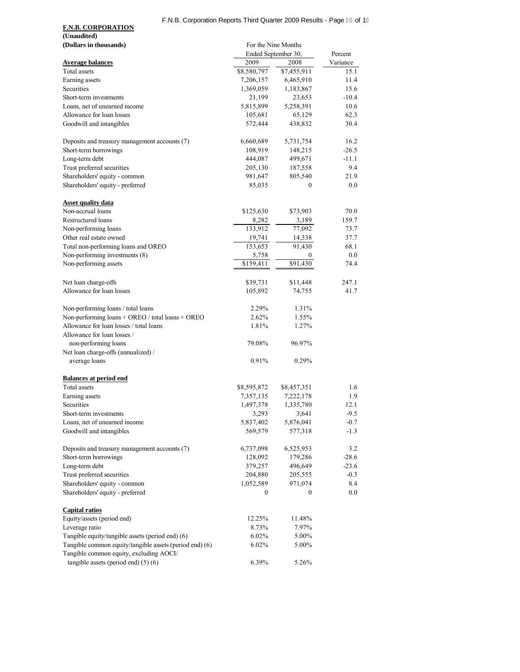## F.N.B. Corporation Reports Third Quarter 2009 Results - Page F€ of 1Ì

| (Unaudited)                                                                                        |                     |                     |          |  |
|----------------------------------------------------------------------------------------------------|---------------------|---------------------|----------|--|
| (Dollars in thousands)                                                                             | For the Nine Months |                     |          |  |
|                                                                                                    | Ended September 30, |                     | Percent  |  |
| <b>Average balances</b>                                                                            | 2009                | 2008                | Variance |  |
| Total assets                                                                                       | \$8,580,797         | \$7,455,911         | 15.1     |  |
| Earning assets                                                                                     | 7,206,157           | 6,465,910           | 11.4     |  |
| Securities                                                                                         | 1,369,059           | 1,183,867           | 15.6     |  |
| Short-term investments                                                                             | 21,199              | 23,653              | $-10.4$  |  |
| Loans, net of unearned income                                                                      | 5,815,899           | 5,258,391           | 10.6     |  |
| Allowance for loan losses                                                                          | 105,681             | 65,129              | 62.3     |  |
| Goodwill and intangibles                                                                           | 572,444             | 438,832             | 30.4     |  |
| Deposits and treasury management accounts (7)                                                      | 6,660,689           | 5,731,754           | 16.2     |  |
| Short-term borrowings                                                                              | 108,919             | 148,215             | $-26.5$  |  |
| Long-term debt                                                                                     | 444,087             | 499,671             | $-11.1$  |  |
| Trust preferred securities                                                                         | 205,130             | 187,558             | 9.4      |  |
| Shareholders' equity - common                                                                      | 981,647             | 805,540             | 21.9     |  |
| Shareholders' equity - preferred                                                                   | 85,035              | $\mathbf{0}$        | 0.0      |  |
| <b>Asset quality data</b>                                                                          |                     |                     |          |  |
| Non-accrual loans                                                                                  | \$125,630           | \$73,903            | 70.0     |  |
| Restructured loans                                                                                 | 8,282               | 3,189               | 159.7    |  |
| Non-performing loans                                                                               | 133,912             | 77,092              | 73.7     |  |
| Other real estate owned                                                                            | 19,741              | 14,338              | 37.7     |  |
| Total non-performing loans and OREO                                                                | 153,653             | $\overline{91,}430$ | 68.1     |  |
| Non-performing investments (8)                                                                     | 5,758               | $\bf{0}$            | 0.0      |  |
| Non-performing assets                                                                              | \$159,411           | \$91,430            | 74.4     |  |
| Net loan charge-offs                                                                               | \$39,731            | \$11,448            | 247.1    |  |
| Allowance for loan losses                                                                          | 105,892             | 74,755              | 41.7     |  |
| Non-performing loans / total loans                                                                 | 2.29%               | 1.31%               |          |  |
| Non-performing loans + OREO / total loans + OREO                                                   | 2.62%               | 1.55%               |          |  |
| Allowance for loan losses / total loans                                                            | 1.81%               | 1.27%               |          |  |
| Allowance for loan losses /                                                                        |                     |                     |          |  |
| non-performing loans                                                                               | 79.08%              | 96.97%              |          |  |
| Net loan charge-offs (annualized) /                                                                |                     |                     |          |  |
| average loans                                                                                      | 0.91%               | 0.29%               |          |  |
| <b>Balances at period end</b>                                                                      |                     |                     |          |  |
| Total assets                                                                                       | \$8,595,872         | \$8,457,351         | 1.6      |  |
| Earning assets                                                                                     | 7,357,135           | 7,222,178           | 1.9      |  |
| Securities                                                                                         | 1,497,378           | 1,335,780           | 12.1     |  |
| Short-term investments                                                                             | 3,293               | 3,641               | $-9.5$   |  |
| Loans, net of unearned income                                                                      | 5,837,402           | 5,876,041           | $-0.7$   |  |
| Goodwill and intangibles                                                                           | 569,579             | 577,318             | $-1.3$   |  |
| Deposits and treasury management accounts (7)                                                      | 6,737,098           | 6,525,953           | 3.2      |  |
| Short-term borrowings                                                                              | 128,092             | 179,286             | $-28.6$  |  |
| Long-term debt                                                                                     | 379,257             | 496,649             | $-23.6$  |  |
| Trust preferred securities                                                                         | 204,880             | 205,555             | $-0.3$   |  |
| Shareholders' equity - common                                                                      | 1,052,589           | 971,074             | 8.4      |  |
| Shareholders' equity - preferred                                                                   | 0                   | $\mathbf{0}$        | 0.0      |  |
| <b>Capital ratios</b>                                                                              |                     |                     |          |  |
| Equity/assets (period end)                                                                         | 12.25%              | 11.48%              |          |  |
| Leverage ratio                                                                                     | 8.73%               | 7.97%               |          |  |
| Tangible equity/tangible assets (period end) (6)                                                   | 6.02%               | 5.00%               |          |  |
| Tangible common equity/tangible assets (period end) (6)<br>Tangible common equity, excluding AOCI/ | 6.02%               | $5.00\%$            |          |  |
| tangible assets (period end) $(5)$ (6)                                                             | 6.39%               | 5.26%               |          |  |

**F.N.B. CORPORATION**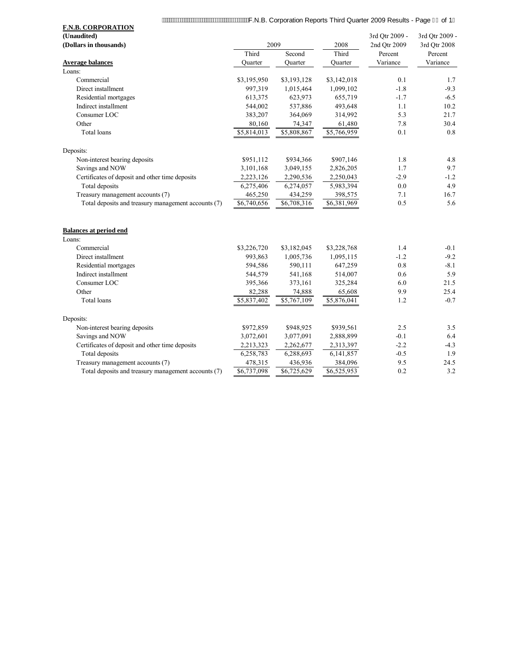| <b>F.N.B. CORPORATION</b>                           |             |             |             |                |                |
|-----------------------------------------------------|-------------|-------------|-------------|----------------|----------------|
| (Unaudited)                                         |             |             |             | 3rd Qtr 2009 - | 3rd Qtr 2009 - |
| (Dollars in thousands)                              | 2009        |             | 2008        | 2nd Qtr 2009   | 3rd Qtr 2008   |
|                                                     | Third       | Second      | Third       | Percent        | Percent        |
| <b>Average balances</b>                             | Ouarter     | Ouarter     | Ouarter     | Variance       | Variance       |
| Loans:                                              |             |             |             |                |                |
| Commercial                                          | \$3,195,950 | \$3,193,128 | \$3,142,018 | 0.1            | 1.7            |
| Direct installment                                  | 997,319     | 1,015,464   | 1,099,102   | $-1.8$         | $-9.3$         |
| Residential mortgages                               | 613,375     | 623,973     | 655,719     | $-1.7$         | $-6.5$         |
| Indirect installment                                | 544,002     | 537,886     | 493,648     | 1.1            | 10.2           |
| Consumer LOC                                        | 383,207     | 364,069     | 314,992     | 5.3            | 21.7           |
| Other                                               | 80,160      | 74,347      | 61,480      | 7.8            | 30.4           |
| Total loans                                         | \$5,814,013 | \$5,808,867 | \$5,766,959 | 0.1            | 0.8            |
| Deposits:                                           |             |             |             |                |                |
| Non-interest bearing deposits                       | \$951,112   | \$934,366   | \$907,146   | 1.8            | 4.8            |
| Savings and NOW                                     | 3,101,168   | 3,049,155   | 2,826,205   | 1.7            | 9.7            |
| Certificates of deposit and other time deposits     | 2,223,126   | 2,290,536   | 2,250,043   | $-2.9$         | $-1.2$         |
| Total deposits                                      | 6,275,406   | 6,274,057   | 5,983,394   | 0.0            | 4.9            |
| Treasury management accounts (7)                    | 465,250     | 434,259     | 398,575     | 7.1            | 16.7           |
| Total deposits and treasury management accounts (7) | \$6,740,656 | \$6,708,316 | \$6,381,969 | 0.5            | 5.6            |
| <b>Balances at period end</b>                       |             |             |             |                |                |
| Loans:                                              |             |             |             |                |                |
| Commercial                                          | \$3,226,720 | \$3,182,045 | \$3,228,768 | 1.4            | $-0.1$         |
| Direct installment                                  | 993,863     | 1,005,736   | 1,095,115   | $-1.2$         | $-9.2$         |
| Residential mortgages                               | 594,586     | 590,111     | 647,259     | 0.8            | $-8.1$         |
| Indirect installment                                | 544,579     | 541,168     | 514,007     | 0.6            | 5.9            |
| Consumer LOC                                        | 395,366     | 373,161     | 325,284     | 6.0            | 21.5           |
| Other                                               | 82,288      | 74,888      | 65,608      | 9.9            | 25.4           |
| Total loans                                         | \$5,837,402 | \$5,767,109 | \$5,876,041 | 1.2            | $-0.7$         |
| Deposits:                                           |             |             |             |                |                |
| Non-interest bearing deposits                       | \$972,859   | \$948,925   | \$939,561   | 2.5            | 3.5            |
| Savings and NOW                                     | 3,072,601   | 3,077,091   | 2,888,899   | $-0.1$         | 6.4            |
| Certificates of deposit and other time deposits     | 2,213,323   | 2,262,677   | 2,313,397   | $-2.2$         | $-4.3$         |
| Total deposits                                      | 6,258,783   | 6,288,693   | 6,141,857   | $-0.5$         | 1.9            |
| Treasury management accounts (7)                    | 478,315     | 436,936     | 384,096     | 9.5            | 24.5           |
| Total deposits and treasury management accounts (7) | \$6,737,098 | \$6,725,629 | \$6,525,953 | 0.2            | 3.2            |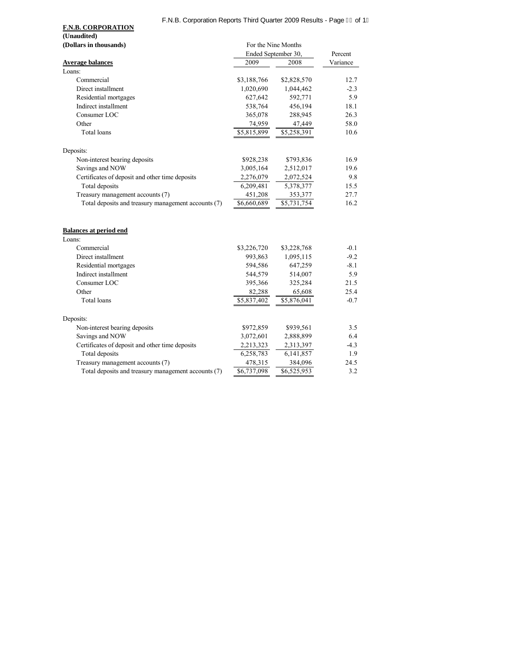# F.N.B. Corporation Reports Third Quarter 2009 Results - Page FGof 1

**F.N.B. CORPORATION (Unaudited)**

|                                                     | Ended September 30, |                         | Percent  |
|-----------------------------------------------------|---------------------|-------------------------|----------|
| <b>Average balances</b>                             | 2009                | 2008                    | Variance |
| Loans:                                              |                     |                         |          |
| Commercial                                          | \$3,188,766         | \$2,828,570             | 12.7     |
| Direct installment                                  | 1,020,690           | 1,044,462               | $-2.3$   |
| Residential mortgages                               | 627,642             | 592,771                 | 5.9      |
| Indirect installment                                | 538,764             | 456,194                 | 18.1     |
| Consumer LOC                                        | 365,078             | 288,945                 | 26.3     |
| Other                                               | 74,959              | 47,449                  | 58.0     |
| <b>Total</b> loans                                  | \$5,815,899         | \$5,258,391             | 10.6     |
| Deposits:                                           |                     |                         |          |
| Non-interest bearing deposits                       | \$928,238           | \$793,836               | 16.9     |
| Savings and NOW                                     | 3,005,164           | 2,512,017               | 19.6     |
| Certificates of deposit and other time deposits     | 2,276,079           | 2,072,524               | 9.8      |
| Total deposits                                      | 6,209,481           | 5,378,377               | 15.5     |
| Treasury management accounts (7)                    | 451,208             | 353,377                 | 27.7     |
| Total deposits and treasury management accounts (7) | \$6,660,689         | \$5,731,754             | 16.2     |
| <b>Balances at period end</b>                       |                     |                         |          |
| Loans:                                              |                     |                         |          |
| Commercial                                          | \$3,226,720         | \$3,228,768             | $-0.1$   |
| Direct installment                                  | 993,863             | 1,095,115               | $-9.2$   |
| Residential mortgages                               | 594,586             | 647,259                 | $-8.1$   |
| Indirect installment                                | 544,579             | 514,007                 | 5.9      |
| Consumer LOC                                        | 395,366             | 325,284                 | 21.5     |
| Other                                               | 82,288              | 65,608                  | 25.4     |
| <b>Total</b> loans                                  | \$5,837,402         | \$5,876,041             | $-0.7$   |
| Deposits:                                           |                     |                         |          |
| Non-interest bearing deposits                       | \$972,859           | \$939,561               | 3.5      |
| Savings and NOW                                     | 3,072,601           | 2,888,899               | 6.4      |
| Certificates of deposit and other time deposits     | 2,213,323           | 2,313,397               | $-4.3$   |
| Total deposits                                      | 6,258,783           | 6,141,857               | 1.9      |
| Treasury management accounts (7)                    | 478,315             | 384,096                 | 24.5     |
| Total deposits and treasury management accounts (7) | \$6,737,098         | $\overline{86,52}5,953$ | 3.2      |

**(Dollars in thousands)** For the Nine Months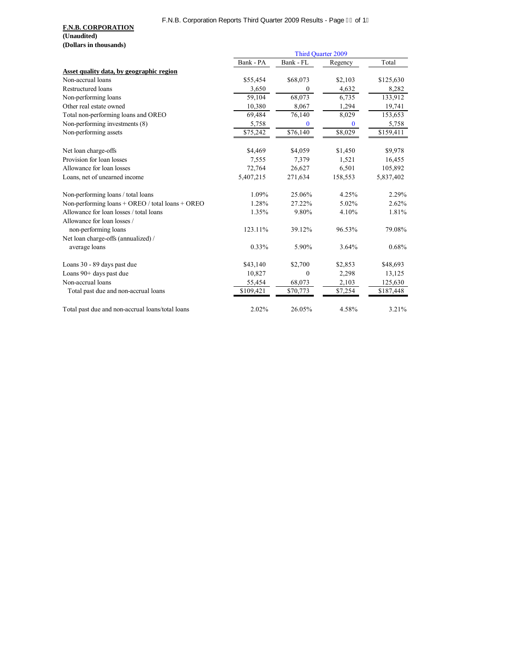## F.N.B. Corporation Reports Third Quarter 2009 Results - Page FH of 1

|                                                  | Third Quarter 2009 |                  |          |           |
|--------------------------------------------------|--------------------|------------------|----------|-----------|
|                                                  | Bank - PA          | Bank - FL        | Regency  | Total     |
| Asset quality data, by geographic region         |                    |                  |          |           |
| Non-accrual loans                                | \$55,454           | \$68,073         | \$2,103  | \$125,630 |
| Restructured loans                               | 3,650              | $\mathbf{0}$     | 4,632    | 8,282     |
| Non-performing loans                             | 59,104             | 68,073           | 6,735    | 133,912   |
| Other real estate owned                          | 10,380             | 8,067            | 1,294    | 19,741    |
| Total non-performing loans and OREO              | 69,484             | 76,140           | 8,029    | 153,653   |
| Non-performing investments (8)                   | 5,758              | $\mathbf{0}$     | $\bf{0}$ | 5,758     |
| Non-performing assets                            | \$75,242           | \$76,140         | \$8,029  | \$159,411 |
| Net loan charge-offs                             | \$4,469            | \$4,059          | \$1,450  | \$9,978   |
| Provision for loan losses                        | 7,555              | 7,379            | 1,521    | 16,455    |
| Allowance for loan losses                        | 72,764             | 26,627           | 6,501    | 105,892   |
| Loans, net of unearned income                    | 5,407,215          | 271,634          | 158,553  | 5,837,402 |
| Non-performing loans / total loans               | 1.09%              | 25.06%           | 4.25%    | 2.29%     |
| Non-performing loans + OREO / total loans + OREO | 1.28%              | 27.22%           | 5.02%    | 2.62%     |
| Allowance for loan losses / total loans          | 1.35%              | 9.80%            | 4.10%    | 1.81%     |
| Allowance for loan losses /                      |                    |                  |          |           |
| non-performing loans                             | 123.11%            | 39.12%           | 96.53%   | 79.08%    |
| Net loan charge-offs (annualized) /              |                    |                  |          |           |
| average loans                                    | 0.33%              | 5.90%            | 3.64%    | 0.68%     |
| Loans 30 - 89 days past due                      | \$43,140           | \$2,700          | \$2,853  | \$48,693  |
| Loans 90+ days past due                          | 10,827             | $\boldsymbol{0}$ | 2,298    | 13,125    |
| Non-accrual loans                                | 55,454             | 68,073           | 2,103    | 125,630   |
| Total past due and non-accrual loans             | \$109,421          | \$70,773         | \$7,254  | \$187,448 |
| Total past due and non-accrual loans/total loans | 2.02%              | 26.05%           | 4.58%    | 3.21%     |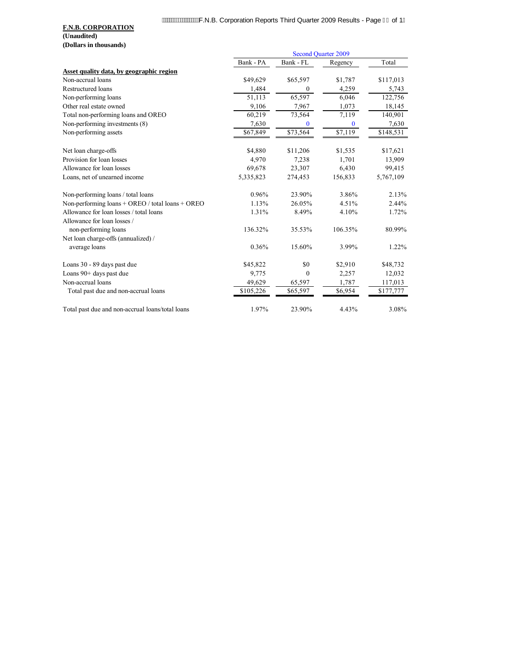|                                                  | <b>Second Quarter 2009</b> |           |          |           |
|--------------------------------------------------|----------------------------|-----------|----------|-----------|
|                                                  | Bank - PA                  | Bank - FL | Regency  | Total     |
| Asset quality data, by geographic region         |                            |           |          |           |
| Non-accrual loans                                | \$49,629                   | \$65,597  | \$1,787  | \$117,013 |
| Restructured loans                               | 1,484                      | $\theta$  | 4,259    | 5,743     |
| Non-performing loans                             | 51,113                     | 65,597    | 6,046    | 122,756   |
| Other real estate owned                          | 9,106                      | 7,967     | 1,073    | 18,145    |
| Total non-performing loans and OREO              | 60,219                     | 73,564    | 7,119    | 140,901   |
| Non-performing investments (8)                   | 7,630                      | 0         | $\bf{0}$ | 7,630     |
| Non-performing assets                            | \$67,849                   | \$73,564  | \$7,119  | \$148,531 |
| Net loan charge-offs                             | \$4,880                    | \$11,206  | \$1,535  | \$17,621  |
| Provision for loan losses                        | 4,970                      | 7,238     | 1,701    | 13,909    |
| Allowance for loan losses                        | 69,678                     | 23,307    | 6,430    | 99,415    |
| Loans, net of unearned income                    | 5,335,823                  | 274,453   | 156,833  | 5,767,109 |
| Non-performing loans / total loans               | 0.96%                      | 23.90%    | 3.86%    | 2.13%     |
| Non-performing loans + OREO / total loans + OREO | 1.13%                      | 26.05%    | 4.51%    | 2.44%     |
| Allowance for loan losses / total loans          | 1.31%                      | 8.49%     | 4.10%    | 1.72%     |
| Allowance for loan losses /                      |                            |           |          |           |
| non-performing loans                             | 136.32%                    | 35.53%    | 106.35%  | 80.99%    |
| Net loan charge-offs (annualized) /              |                            |           |          |           |
| average loans                                    | 0.36%                      | 15.60%    | 3.99%    | 1.22%     |
| Loans 30 - 89 days past due                      | \$45,822                   | \$0       | \$2,910  | \$48,732  |
| Loans 90+ days past due                          | 9,775                      | $\theta$  | 2,257    | 12,032    |
| Non-accrual loans                                | 49,629                     | 65,597    | 1,787    | 117,013   |
| Total past due and non-accrual loans             | \$105,226                  | \$65,597  | \$6,954  | \$177,777 |
| Total past due and non-accrual loans/total loans | 1.97%                      | 23.90%    | 4.43%    | 3.08%     |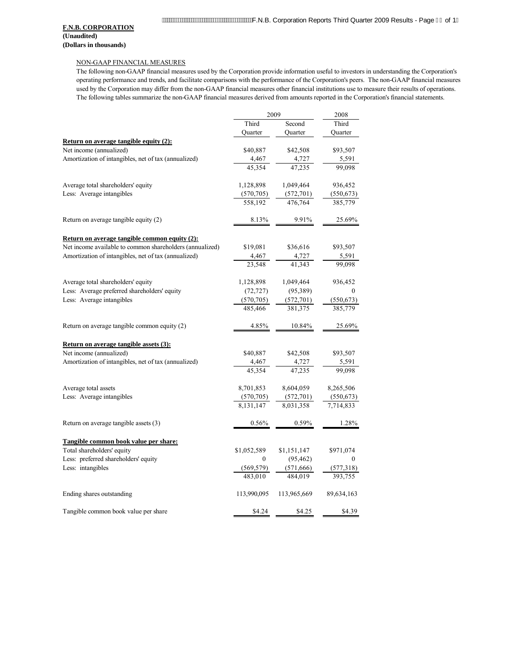#### NON-GAAP FINANCIAL MEASURES

The following non-GAAP financial measures used by the Corporation provide information useful to investors in understanding the Corporation's operating performance and trends, and facilitate comparisons with the performance of the Corporation's peers. The non-GAAP financial measures used by the Corporation may differ from the non-GAAP financial measures other financial institutions use to measure their results of operations. The following tables summarize the non-GAAP financial measures derived from amounts reported in the Corporation's financial statements.

|                                                          |             | 2009        | 2008             |
|----------------------------------------------------------|-------------|-------------|------------------|
|                                                          | Third       | Second      | Third            |
|                                                          | Quarter     | Quarter     | Quarter          |
| Return on average tangible equity (2):                   |             |             |                  |
| Net income (annualized)                                  | \$40,887    | \$42,508    | \$93,507         |
| Amortization of intangibles, net of tax (annualized)     | 4,467       | 4,727       | 5,591            |
|                                                          | 45.354      | 47.235      | 99,098           |
| Average total shareholders' equity                       | 1,128,898   | 1,049,464   | 936,452          |
| Less: Average intangibles                                | (570, 705)  | (572, 701)  | (550, 673)       |
|                                                          | 558,192     | 476.764     | 385,779          |
| Return on average tangible equity (2)                    | 8.13%       | 9.91%       | 25.69%           |
| Return on average tangible common equity (2):            |             |             |                  |
| Net income available to common shareholders (annualized) | \$19,081    | \$36,616    | \$93,507         |
| Amortization of intangibles, net of tax (annualized)     | 4,467       | 4,727       | 5,591            |
|                                                          | 23,548      | 41,343      | 99,098           |
| Average total shareholders' equity                       | 1,128,898   | 1,049,464   | 936,452          |
| Less: Average preferred shareholders' equity             | (72, 727)   | (95,389)    | $\theta$         |
| Less: Average intangibles                                | (570, 705)  | (572, 701)  | (550, 673)       |
|                                                          | 485,466     | 381,375     | 385,779          |
| Return on average tangible common equity (2)             | 4.85%       | 10.84%      | 25.69%           |
| Return on average tangible assets (3):                   |             |             |                  |
| Net income (annualized)                                  | \$40,887    | \$42,508    | \$93,507         |
| Amortization of intangibles, net of tax (annualized)     | 4,467       | 4,727       | 5,591            |
|                                                          | 45.354      | 47.235      | 99.098           |
| Average total assets                                     | 8,701,853   | 8,604,059   | 8,265,506        |
| Less: Average intangibles                                | (570, 705)  | (572, 701)  | (550, 673)       |
|                                                          | 8,131,147   | 8,031,358   | 7,714,833        |
| Return on average tangible assets (3)                    | 0.56%       | 0.59%       | 1.28%            |
| Tangible common book value per share:                    |             |             |                  |
| Total shareholders' equity                               | \$1,052,589 | \$1,151,147 | \$971,074        |
| Less: preferred shareholders' equity                     | 0           | (95, 462)   | $\boldsymbol{0}$ |
| Less: intangibles                                        | (569, 579)  | (571,666)   | (577,318)        |
|                                                          | 483.010     | 484,019     | 393,755          |
| Ending shares outstanding                                | 113,990,095 | 113,965,669 | 89,634,163       |
| Tangible common book value per share                     | \$4.24      | \$4.25      | \$4.39           |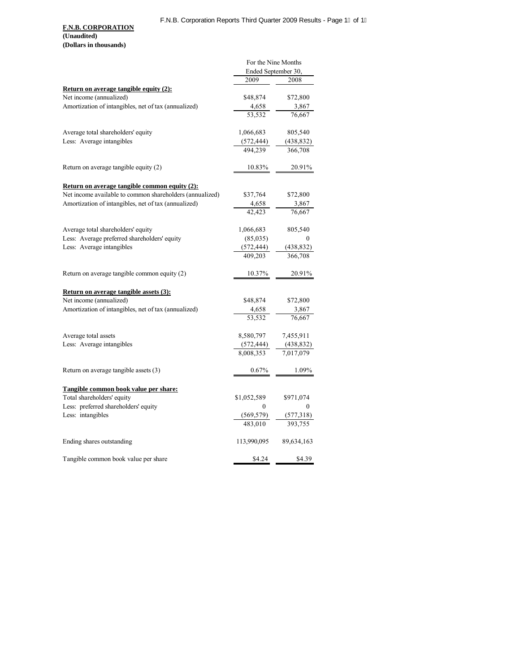|                                                          | For the Nine Months |            |  |
|----------------------------------------------------------|---------------------|------------|--|
|                                                          | Ended September 30, |            |  |
|                                                          | 2009                | 2008       |  |
| <b>Return on average tangible equity (2):</b>            |                     |            |  |
| Net income (annualized)                                  | \$48,874            | \$72,800   |  |
| Amortization of intangibles, net of tax (annualized)     | 4,658               | 3,867      |  |
|                                                          | 53,532              | 76,667     |  |
| Average total shareholders' equity                       | 1,066,683           | 805,540    |  |
| Less: Average intangibles                                | (572, 444)          | (438, 832) |  |
|                                                          | 494.239             | 366,708    |  |
| Return on average tangible equity (2)                    | 10.83%              | 20.91%     |  |
| <b>Return on average tangible common equity (2):</b>     |                     |            |  |
| Net income available to common shareholders (annualized) | \$37,764            | \$72,800   |  |
| Amortization of intangibles, net of tax (annualized)     | 4,658               | 3,867      |  |
|                                                          | 42,423              | 76,667     |  |
| Average total shareholders' equity                       | 1,066,683           | 805,540    |  |
| Less: Average preferred shareholders' equity             | (85,035)            | 0          |  |
| Less: Average intangibles                                | (572, 444)          | (438, 832) |  |
|                                                          | 409,203             | 366,708    |  |
| Return on average tangible common equity (2)             | 10.37%              | 20.91%     |  |
| <b>Return on average tangible assets (3):</b>            |                     |            |  |
| Net income (annualized)                                  | \$48,874            | \$72,800   |  |
| Amortization of intangibles, net of tax (annualized)     | 4,658               | 3,867      |  |
|                                                          | 53,532              | 76,667     |  |
| Average total assets                                     | 8,580,797           | 7,455,911  |  |
| Less: Average intangibles                                | (572, 444)          | (438, 832) |  |
|                                                          | 8,008,353           | 7,017,079  |  |
| Return on average tangible assets (3)                    | 0.67%               | 1.09%      |  |
| Tangible common book value per share:                    |                     |            |  |
| Total shareholders' equity                               | \$1,052,589         | \$971,074  |  |
| Less: preferred shareholders' equity                     | 0                   | 0          |  |
| Less: intangibles                                        | (569, 579)          | (577,318)  |  |
|                                                          | 483,010             | 393,755    |  |
| Ending shares outstanding                                | 113,990,095         | 89,634,163 |  |
| Tangible common book value per share                     | \$4.24              | \$4.39     |  |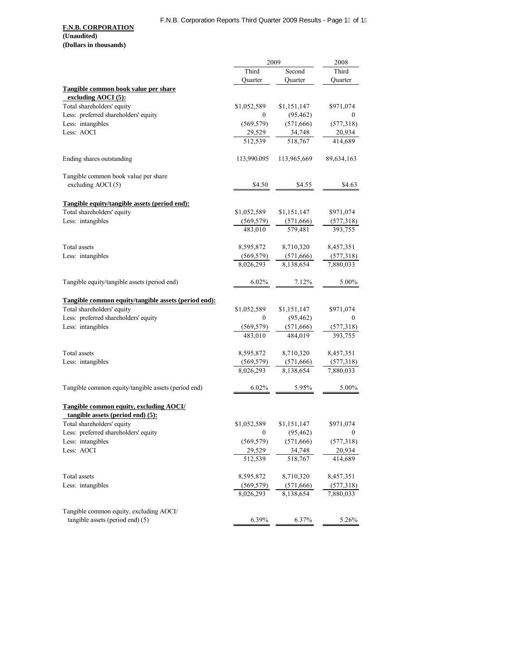|                                                      |                             | 2009        | 2008                        |
|------------------------------------------------------|-----------------------------|-------------|-----------------------------|
|                                                      | Third                       | Second      | Third                       |
|                                                      | Quarter                     | Quarter     | Quarter                     |
| Tangible common book value per share                 |                             |             |                             |
| excluding $AOCI(5)$ :                                |                             |             |                             |
| Total shareholders' equity                           | \$1,052,589                 | \$1,151,147 | \$971,074                   |
| Less: preferred shareholders' equity                 | $\boldsymbol{0}$            | (95, 462)   | $\mathbf{0}$                |
| Less: intangibles                                    | (569, 579)                  | (571, 666)  | (577,318)                   |
| Less: AOCI                                           | 29,529                      | 34,748      | 20,934                      |
|                                                      | 512,539                     | 518,767     | 414,689                     |
| Ending shares outstanding                            | 113,990.095                 | 113,965,669 | 89,634,163                  |
| Tangible common book value per share                 |                             |             |                             |
| excluding AOCI (5)                                   | \$4.50                      | \$4.55      | \$4.63                      |
| Tangible equity/tangible assets (period end):        |                             |             |                             |
| Total shareholders' equity                           | \$1,052,589                 | \$1,151,147 | \$971,074                   |
| Less: intangibles                                    |                             | (571,666)   |                             |
|                                                      | $\frac{(569,579)}{483,010}$ | 579,481     | $\frac{(577,318)}{393,755}$ |
| Total assets                                         | 8,595,872                   | 8,710,320   | 8,457,351                   |
| Less: intangibles                                    | (569, 579)                  | (571,666)   | (577,318)                   |
|                                                      | 8,026,293                   | 8,138,654   | 7,880,033                   |
| Tangible equity/tangible assets (period end)         | $6.02\%$                    | 7.12%       | 5.00%                       |
| Tangible common equity/tangible assets (period end): |                             |             |                             |
| Total shareholders' equity                           | \$1,052,589                 | \$1,151,147 | \$971,074                   |
| Less: preferred shareholders' equity                 | $\mathbf{0}$                | (95, 462)   | $\mathbf{0}$                |
| Less: intangibles                                    | (569, 579)                  | (571, 666)  | (577,318)                   |
|                                                      | 483,010                     | 484,019     | 393,755                     |
| Total assets                                         | 8,595,872                   | 8,710,320   | 8,457,351                   |
| Less: intangibles                                    | (569, 579)                  | (571,666)   | (577,318)                   |
|                                                      | 8,026,293                   | 8,138,654   | 7,880,033                   |
| Tangible common equity/tangible assets (period end)  | 6.02%                       | 5.95%       | 5.00%                       |
| Tangible common equity, excluding AOCI/              |                             |             |                             |
| tangible assets (period end) (5):                    |                             |             |                             |
| Total shareholders' equity                           | \$1,052,589                 | \$1,151,147 | \$971,074                   |
| Less: preferred shareholders' equity                 | 0                           | (95, 462)   | 0                           |
| Less: intangibles                                    | (569, 579)                  | (571, 666)  | (577,318)                   |
| Less: AOCI                                           | 29,529                      | 34,748      | 20,934                      |
|                                                      | 512,539                     | 518,767     | 414,689                     |
| Total assets                                         | 8,595,872                   | 8,710,320   | 8,457,351                   |
| Less: intangibles                                    | (569, 579)                  | (571,666)   | (577,318)                   |
|                                                      | 8,026,293                   | 8,138,654   | 7,880,033                   |
| Tangible common equity, excluding AOCI/              |                             |             |                             |
| tangible assets (period end) (5)                     | 6.39%                       | 6.37%       | 5.26%                       |